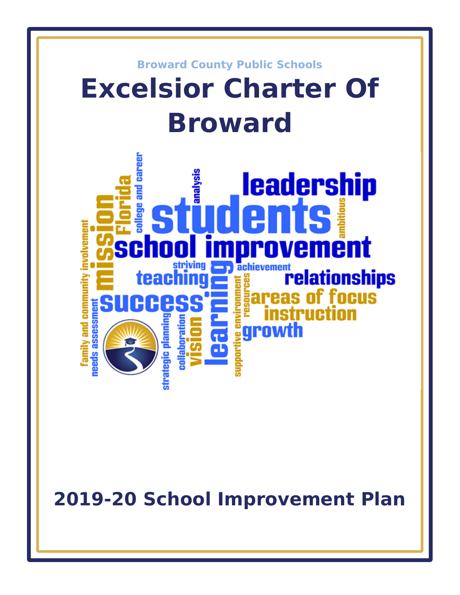

**2019-20 School Improvement Plan**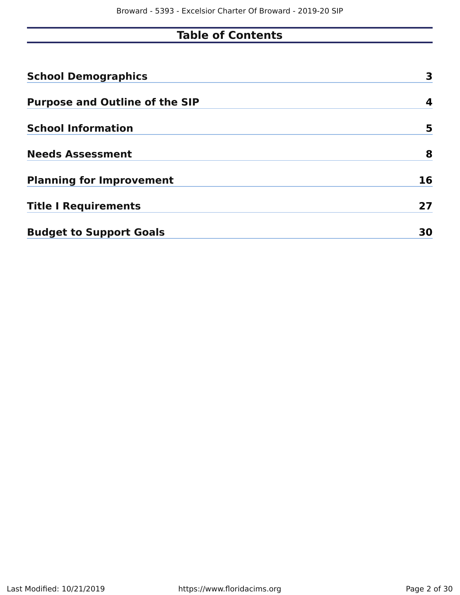# **Table of Contents**

| <b>School Demographics</b>            | 3  |
|---------------------------------------|----|
| <b>Purpose and Outline of the SIP</b> | 4  |
| <b>School Information</b>             | 5  |
| <b>Needs Assessment</b>               | 8  |
| <b>Planning for Improvement</b>       | 16 |
| <b>Title I Requirements</b>           | 27 |
| <b>Budget to Support Goals</b>        | 30 |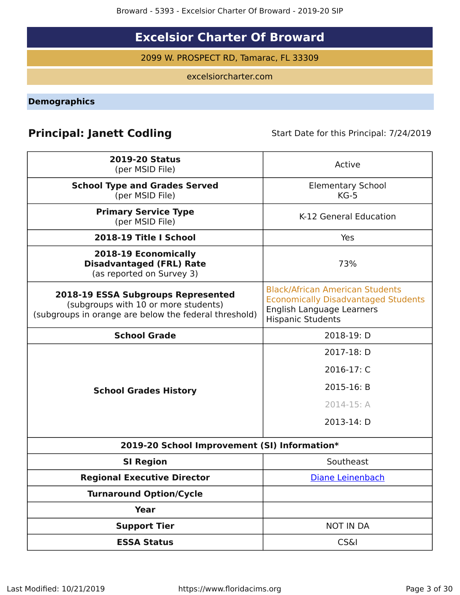# **Excelsior Charter Of Broward**

2099 W. PROSPECT RD, Tamarac, FL 33309

excelsiorcharter.com

<span id="page-2-0"></span>**Demographics**

# **Principal: Janett Codling** Start Date for this Principal: 7/24/2019

| <b>2019-20 Status</b><br>(per MSID File)                                                                                            | Active                                                                                                                                        |
|-------------------------------------------------------------------------------------------------------------------------------------|-----------------------------------------------------------------------------------------------------------------------------------------------|
| <b>School Type and Grades Served</b><br>(per MSID File)                                                                             | <b>Elementary School</b><br>$KG-5$                                                                                                            |
| <b>Primary Service Type</b><br>(per MSID File)                                                                                      | K-12 General Education                                                                                                                        |
| 2018-19 Title I School                                                                                                              | Yes                                                                                                                                           |
| 2018-19 Economically<br><b>Disadvantaged (FRL) Rate</b><br>(as reported on Survey 3)                                                | 73%                                                                                                                                           |
| 2018-19 ESSA Subgroups Represented<br>(subgroups with 10 or more students)<br>(subgroups in orange are below the federal threshold) | <b>Black/African American Students</b><br><b>Economically Disadvantaged Students</b><br>English Language Learners<br><b>Hispanic Students</b> |
| <b>School Grade</b>                                                                                                                 | 2018-19: D                                                                                                                                    |
|                                                                                                                                     | 2017-18: D                                                                                                                                    |
|                                                                                                                                     | 2016-17: C                                                                                                                                    |
| <b>School Grades History</b>                                                                                                        | 2015-16: B                                                                                                                                    |
|                                                                                                                                     | 2014-15: A                                                                                                                                    |
|                                                                                                                                     | 2013-14: D                                                                                                                                    |
| 2019-20 School Improvement (SI) Information*                                                                                        |                                                                                                                                               |
| <b>SI Region</b>                                                                                                                    | Southeast                                                                                                                                     |
| <b>Regional Executive Director</b>                                                                                                  | Diane Leinenbach                                                                                                                              |
| <b>Turnaround Option/Cycle</b>                                                                                                      |                                                                                                                                               |
| <b>Year</b>                                                                                                                         |                                                                                                                                               |
| <b>Support Tier</b>                                                                                                                 | <b>NOT IN DA</b>                                                                                                                              |
| <b>ESSA Status</b>                                                                                                                  | <b>CS&amp;I</b>                                                                                                                               |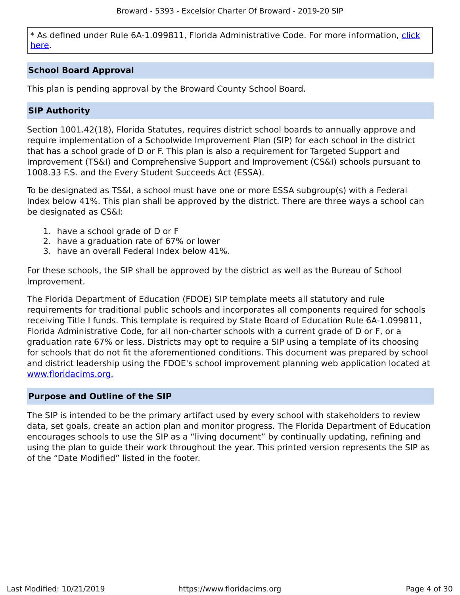\* As defined under Rule 6A-1.099811, Florida Administrative Code. For more information, [click](/downloads?category=da-forms) [here](/downloads?category=da-forms).

## **School Board Approval**

This plan is pending approval by the Broward County School Board.

## **SIP Authority**

Section 1001.42(18), Florida Statutes, requires district school boards to annually approve and require implementation of a Schoolwide Improvement Plan (SIP) for each school in the district that has a school grade of D or F. This plan is also a requirement for Targeted Support and Improvement (TS&I) and Comprehensive Support and Improvement (CS&I) schools pursuant to 1008.33 F.S. and the Every Student Succeeds Act (ESSA).

To be designated as TS&I, a school must have one or more ESSA subgroup(s) with a Federal Index below 41%. This plan shall be approved by the district. There are three ways a school can be designated as CS&I:

- 1. have a school grade of D or F
- 2. have a graduation rate of 67% or lower
- 3. have an overall Federal Index below 41%.

For these schools, the SIP shall be approved by the district as well as the Bureau of School Improvement.

The Florida Department of Education (FDOE) SIP template meets all statutory and rule requirements for traditional public schools and incorporates all components required for schools receiving Title I funds. This template is required by State Board of Education Rule 6A-1.099811, Florida Administrative Code, for all non-charter schools with a current grade of D or F, or a graduation rate 67% or less. Districts may opt to require a SIP using a template of its choosing for schools that do not fit the aforementioned conditions. This document was prepared by school and district leadership using the FDOE's school improvement planning web application located at [www.floridacims.org.](https://www.floridacims.org)

## <span id="page-3-0"></span>**Purpose and Outline of the SIP**

The SIP is intended to be the primary artifact used by every school with stakeholders to review data, set goals, create an action plan and monitor progress. The Florida Department of Education encourages schools to use the SIP as a "living document" by continually updating, refining and using the plan to guide their work throughout the year. This printed version represents the SIP as of the "Date Modified" listed in the footer.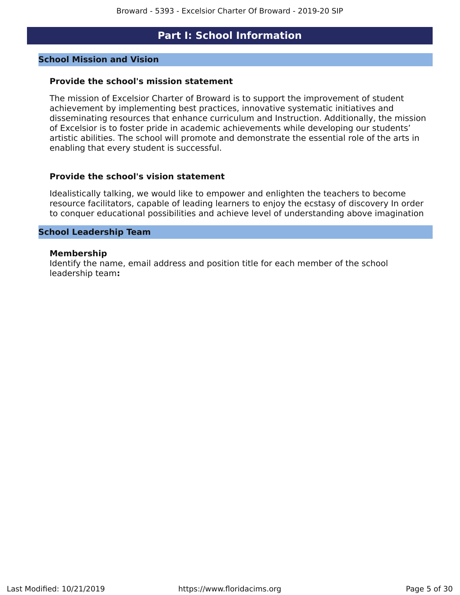## **Part I: School Information**

### <span id="page-4-0"></span>**School Mission and Vision**

### **Provide the school's mission statement**

The mission of Excelsior Charter of Broward is to support the improvement of student achievement by implementing best practices, innovative systematic initiatives and disseminating resources that enhance curriculum and Instruction. Additionally, the mission of Excelsior is to foster pride in academic achievements while developing our students' artistic abilities. The school will promote and demonstrate the essential role of the arts in enabling that every student is successful.

### **Provide the school's vision statement**

Idealistically talking, we would like to empower and enlighten the teachers to become resource facilitators, capable of leading learners to enjoy the ecstasy of discovery In order to conquer educational possibilities and achieve level of understanding above imagination

### **School Leadership Team**

#### **Membership**

Identify the name, email address and position title for each member of the school leadership team**:**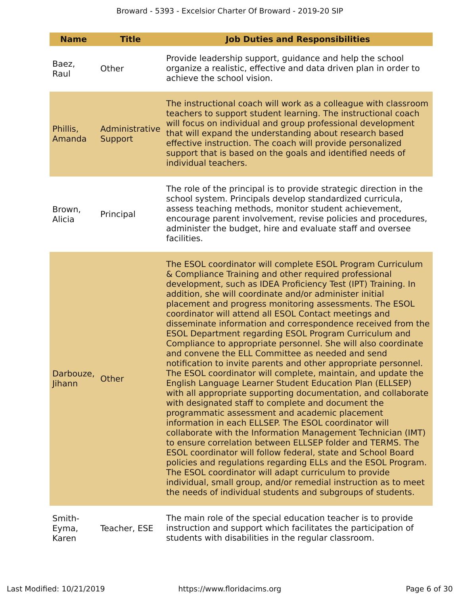| <b>Name</b>               | <b>Title</b>              | <b>Job Duties and Responsibilities</b>                                                                                                                                                                                                                                                                                                                                                                                                                                                                                                                                                                                                                                                                                                                                                                                                                                                                                                                                                                                                                                                                                                                                                                                                                                                                                                                                                                                                                                                                                      |
|---------------------------|---------------------------|-----------------------------------------------------------------------------------------------------------------------------------------------------------------------------------------------------------------------------------------------------------------------------------------------------------------------------------------------------------------------------------------------------------------------------------------------------------------------------------------------------------------------------------------------------------------------------------------------------------------------------------------------------------------------------------------------------------------------------------------------------------------------------------------------------------------------------------------------------------------------------------------------------------------------------------------------------------------------------------------------------------------------------------------------------------------------------------------------------------------------------------------------------------------------------------------------------------------------------------------------------------------------------------------------------------------------------------------------------------------------------------------------------------------------------------------------------------------------------------------------------------------------------|
| Baez,<br>Raul             | Other                     | Provide leadership support, guidance and help the school<br>organize a realistic, effective and data driven plan in order to<br>achieve the school vision.                                                                                                                                                                                                                                                                                                                                                                                                                                                                                                                                                                                                                                                                                                                                                                                                                                                                                                                                                                                                                                                                                                                                                                                                                                                                                                                                                                  |
| Phillis,<br>Amanda        | Administrative<br>Support | The instructional coach will work as a colleague with classroom<br>teachers to support student learning. The instructional coach<br>will focus on individual and group professional development<br>that will expand the understanding about research based<br>effective instruction. The coach will provide personalized<br>support that is based on the goals and identified needs of<br>individual teachers.                                                                                                                                                                                                                                                                                                                                                                                                                                                                                                                                                                                                                                                                                                                                                                                                                                                                                                                                                                                                                                                                                                              |
| Brown,<br>Alicia          | Principal                 | The role of the principal is to provide strategic direction in the<br>school system. Principals develop standardized curricula,<br>assess teaching methods, monitor student achievement,<br>encourage parent involvement, revise policies and procedures,<br>administer the budget, hire and evaluate staff and oversee<br>facilities.                                                                                                                                                                                                                                                                                                                                                                                                                                                                                                                                                                                                                                                                                                                                                                                                                                                                                                                                                                                                                                                                                                                                                                                      |
| Darbouze, Other<br>Jihann |                           | The ESOL coordinator will complete ESOL Program Curriculum<br>& Compliance Training and other required professional<br>development, such as IDEA Proficiency Test (IPT) Training. In<br>addition, she will coordinate and/or administer initial<br>placement and progress monitoring assessments. The ESOL<br>coordinator will attend all ESOL Contact meetings and<br>disseminate information and correspondence received from the<br><b>ESOL Department regarding ESOL Program Curriculum and</b><br>Compliance to appropriate personnel. She will also coordinate<br>and convene the ELL Committee as needed and send<br>notification to invite parents and other appropriate personnel.<br>The ESOL coordinator will complete, maintain, and update the<br><b>English Language Learner Student Education Plan (ELLSEP)</b><br>with all appropriate supporting documentation, and collaborate<br>with designated staff to complete and document the<br>programmatic assessment and academic placement<br>information in each ELLSEP. The ESOL coordinator will<br>collaborate with the Information Management Technician (IMT)<br>to ensure correlation between ELLSEP folder and TERMS. The<br>ESOL coordinator will follow federal, state and School Board<br>policies and regulations regarding ELLs and the ESOL Program.<br>The ESOL coordinator will adapt curriculum to provide<br>individual, small group, and/or remedial instruction as to meet<br>the needs of individual students and subgroups of students. |
| Smith-<br>Eyma,<br>Karen  | Teacher, ESE              | The main role of the special education teacher is to provide<br>instruction and support which facilitates the participation of<br>students with disabilities in the regular classroom.                                                                                                                                                                                                                                                                                                                                                                                                                                                                                                                                                                                                                                                                                                                                                                                                                                                                                                                                                                                                                                                                                                                                                                                                                                                                                                                                      |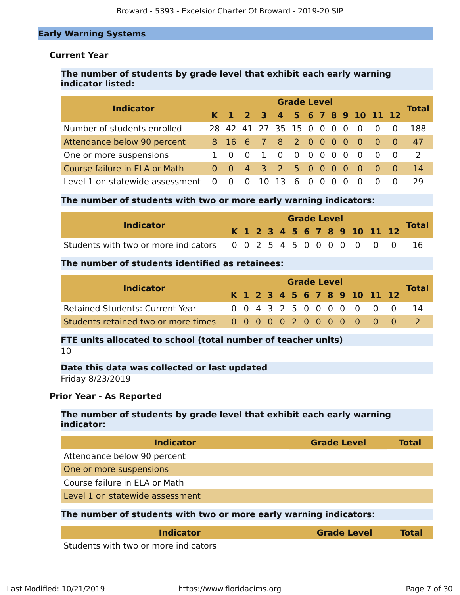## **Early Warning Systems**

## **Current Year**

## **The number of students by grade level that exhibit each early warning indicator listed:**

| <b>Indicator</b>                  |                |                         |                           |      | <b>Grade Level</b> |     |          |     |                              |                                     | <b>Total</b> |
|-----------------------------------|----------------|-------------------------|---------------------------|------|--------------------|-----|----------|-----|------------------------------|-------------------------------------|--------------|
|                                   |                |                         |                           |      |                    |     |          |     | K 1 2 3 4 5 6 7 8 9 10 11 12 |                                     |              |
| Number of students enrolled       |                |                         | 28 42 41 27 35 15 0 0 0 0 |      |                    |     |          |     | $\overline{\mathbf{0}}$      | $\Omega$                            | 188          |
| Attendance below 90 percent       |                |                         | 8 16 6 7 8 2 0 0 0 0      |      |                    |     |          |     | - 0                          | $\begin{matrix} 0 & 0 \end{matrix}$ | 47           |
| One or more suspensions           | - 0            | $\overline{0}$          | $\overline{1}$            | - 0  |                    |     |          |     | $\overline{0}$               | $\begin{matrix} 0 & 0 \end{matrix}$ | <sup>2</sup> |
| Course failure in ELA or Math     | $0 \quad 0$    |                         | 4 3 2 5 0 0 0 0           |      |                    |     |          |     | - O                          | $\begin{matrix} 0 & 0 \end{matrix}$ | 14           |
| Level 1 on statewide assessment 0 | $\overline{0}$ | $\overline{\mathbf{0}}$ | - 10                      | - 13 | 6                  | - 0 | $\Omega$ | - 0 |                              |                                     | 29           |

### **The number of students with two or more early warning indicators:**

|                                                                  |  | <b>Grade Level</b> |  |  |  |  |  |  |  |  |  |                              |  |              |
|------------------------------------------------------------------|--|--------------------|--|--|--|--|--|--|--|--|--|------------------------------|--|--------------|
| <b>Indicator</b>                                                 |  |                    |  |  |  |  |  |  |  |  |  | K 1 2 3 4 5 6 7 8 9 10 11 12 |  | <b>Total</b> |
| Students with two or more indicators 0 0 2 5 4 5 0 0 0 0 0 0 0 0 |  |                    |  |  |  |  |  |  |  |  |  |                              |  |              |

## **The number of students identified as retainees:**

| <b>Indicator</b>                                                |  | <b>Grade Level</b> |  |  |  |  |  |  |  |  |  |                              |  |              |
|-----------------------------------------------------------------|--|--------------------|--|--|--|--|--|--|--|--|--|------------------------------|--|--------------|
|                                                                 |  |                    |  |  |  |  |  |  |  |  |  | K 1 2 3 4 5 6 7 8 9 10 11 12 |  | <b>Total</b> |
| <b>Retained Students: Current Year</b>                          |  |                    |  |  |  |  |  |  |  |  |  | 0 0 4 3 2 5 0 0 0 0 0 0 0    |  |              |
| Students retained two or more times 0 0 0 0 0 2 0 0 0 0 0 0 0 0 |  |                    |  |  |  |  |  |  |  |  |  |                              |  |              |

## **FTE units allocated to school (total number of teacher units)** 10

## **Date this data was collected or last updated** Friday 8/23/2019

### **Prior Year - As Reported**

## **The number of students by grade level that exhibit each early warning indicator:**

| <b>Indicator</b>                                                  | <b>Grade Level</b> | Total |
|-------------------------------------------------------------------|--------------------|-------|
| Attendance below 90 percent                                       |                    |       |
| One or more suspensions                                           |                    |       |
| Course failure in ELA or Math                                     |                    |       |
| Level 1 on statewide assessment                                   |                    |       |
| The number of students with two or more early warning indicators: |                    |       |
|                                                                   |                    |       |

| <i><b>Indicator</b></i>                                                  | <b>Grade Level</b> | Total |
|--------------------------------------------------------------------------|--------------------|-------|
| Charles and a contribution of the contract of the alternative contracts. |                    |       |

Students with two or more indicators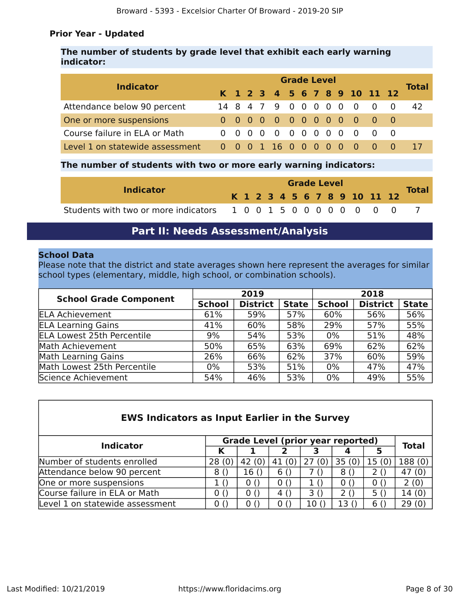## **Prior Year - Updated**

## **The number of students by grade level that exhibit each early warning indicator:**

| <b>Indicator</b>                |  | <b>Grade Level</b> |  |  |                      |  |  |  |  |  |          |                              |  |              |
|---------------------------------|--|--------------------|--|--|----------------------|--|--|--|--|--|----------|------------------------------|--|--------------|
|                                 |  |                    |  |  |                      |  |  |  |  |  |          | K 1 2 3 4 5 6 7 8 9 10 11 12 |  | <b>Total</b> |
| Attendance below 90 percent     |  |                    |  |  |                      |  |  |  |  |  |          | 14 8 4 7 9 0 0 0 0 0 0 0 0   |  | 42           |
| One or more suspensions         |  |                    |  |  |                      |  |  |  |  |  |          | 0 0 0 0 0 0 0 0 0 0 0 0      |  |              |
| Course failure in ELA or Math   |  |                    |  |  |                      |  |  |  |  |  |          | 0 0 0 0 0 0 0 0 0 0 0 0      |  |              |
| Level 1 on statewide assessment |  |                    |  |  | 0 0 0 1 16 0 0 0 0 0 |  |  |  |  |  | <b>O</b> |                              |  |              |

## **The number of students with two or more early warning indicators:**

|                                                                  |  | <b>Grade Level</b> |  |  |  |  |  |  |  |  |  |                              |  |  |
|------------------------------------------------------------------|--|--------------------|--|--|--|--|--|--|--|--|--|------------------------------|--|--|
| <b>Indicator</b>                                                 |  |                    |  |  |  |  |  |  |  |  |  | K 1 2 3 4 5 6 7 8 9 10 11 12 |  |  |
| Students with two or more indicators 1 0 0 1 5 0 0 0 0 0 0 0 0 0 |  |                    |  |  |  |  |  |  |  |  |  |                              |  |  |

## **Part II: Needs Assessment/Analysis**

### <span id="page-7-0"></span>**School Data**

Please note that the district and state averages shown here represent the averages for similar school types (elementary, middle, high school, or combination schools).

| <b>School Grade Component</b>     |               | 2019            |              | 2018          |                 |              |  |  |  |
|-----------------------------------|---------------|-----------------|--------------|---------------|-----------------|--------------|--|--|--|
|                                   | <b>School</b> | <b>District</b> | <b>State</b> | <b>School</b> | <b>District</b> | <b>State</b> |  |  |  |
| <b>ELA Achievement</b>            | 61%           | 59%             | 57%          | 60%           | 56%             | 56%          |  |  |  |
| <b>ELA Learning Gains</b>         | 41%           | 60%             | 58%          | 29%           | 57%             | 55%          |  |  |  |
| <b>ELA Lowest 25th Percentile</b> | 9%            | 54%             | 53%          | $0\%$         | 51%             | 48%          |  |  |  |
| Math Achievement                  | 50%           | 65%             | 63%          | 69%           | 62%             | 62%          |  |  |  |
| Math Learning Gains               | 26%           | 66%             | 62%          | 37%           | 60%             | 59%          |  |  |  |
| Math Lowest 25th Percentile       | 0%            | 53%             | 51%          | $0\%$         | 47%             | 47%          |  |  |  |
| Science Achievement               | 54%           | 46%             | 53%          | $0\%$         | 49%             | 55%          |  |  |  |

| <b>EWS Indicators as Input Earlier in the Survey</b> |       |       |                                          |       |       |       |              |  |  |  |  |
|------------------------------------------------------|-------|-------|------------------------------------------|-------|-------|-------|--------------|--|--|--|--|
| <b>Indicator</b>                                     |       |       | <b>Grade Level (prior year reported)</b> |       |       |       | <b>Total</b> |  |  |  |  |
|                                                      | К     |       | 2                                        | З     |       | 5     |              |  |  |  |  |
| Number of students enrolled                          | 28(0) | 42(0) | 41 (0)                                   | 27(0) | 35(0) | 15(0) | 188 (0)      |  |  |  |  |
| Attendance below 90 percent                          | 8()   | 16()  | 6()                                      | 7 ()  | 8()   | 2()   | 47(0)        |  |  |  |  |
| One or more suspensions                              | 10    | 0()   | 0()                                      |       | 0()   | 0()   | 2(0)         |  |  |  |  |
| Course failure in ELA or Math                        | 0()   | 0()   | 4 ()                                     | 3()   | 2()   | 5()   | 14(0)        |  |  |  |  |
| Level 1 on statewide assessment                      | 0()   | 0()   | 0()                                      | 10()  | 13(   | 6()   | 29(0)        |  |  |  |  |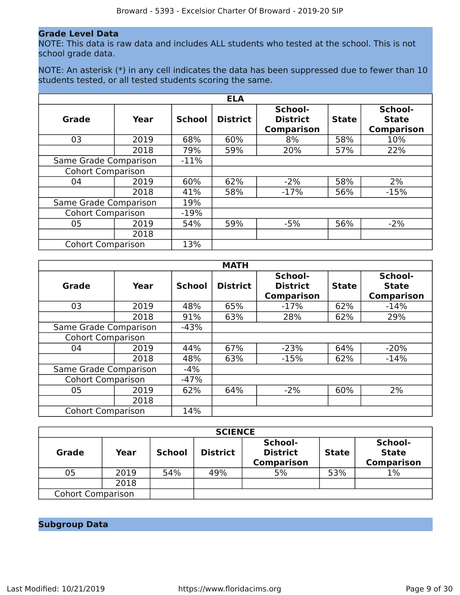### **Grade Level Data**

NOTE: This data is raw data and includes ALL students who tested at the school. This is not school grade data.

NOTE: An asterisk (\*) in any cell indicates the data has been suppressed due to fewer than 10 students tested, or all tested students scoring the same.

|                          |      |               | <b>ELA</b>      |                                                 |              |                                              |
|--------------------------|------|---------------|-----------------|-------------------------------------------------|--------------|----------------------------------------------|
| <b>Grade</b>             | Year | <b>School</b> | <b>District</b> | School-<br><b>District</b><br><b>Comparison</b> | <b>State</b> | School-<br><b>State</b><br><b>Comparison</b> |
| 03                       | 2019 | 68%           | 60%             | 8%                                              | 58%          | 10%                                          |
|                          | 2018 | 79%           | 59%             | 20%                                             | 57%          | 22%                                          |
| Same Grade Comparison    |      | $-11%$        |                 |                                                 |              |                                              |
| <b>Cohort Comparison</b> |      |               |                 |                                                 |              |                                              |
| 04                       | 2019 | 60%           | 62%             | $-2%$                                           | 58%          | 2%                                           |
|                          | 2018 | 41%           | 58%             | $-17%$                                          | 56%          | $-15%$                                       |
| Same Grade Comparison    |      | 19%           |                 |                                                 |              |                                              |
| <b>Cohort Comparison</b> |      | $-19%$        |                 |                                                 |              |                                              |
| 05                       | 2019 | 54%           | 59%             | $-5%$                                           | 56%          | $-2%$                                        |
|                          | 2018 |               |                 |                                                 |              |                                              |
| <b>Cohort Comparison</b> |      | 13%           |                 |                                                 |              |                                              |

|                          |      |               | <b>MATH</b>     |                                                 |              |                                              |
|--------------------------|------|---------------|-----------------|-------------------------------------------------|--------------|----------------------------------------------|
| Grade                    | Year | <b>School</b> | <b>District</b> | School-<br><b>District</b><br><b>Comparison</b> | <b>State</b> | School-<br><b>State</b><br><b>Comparison</b> |
| 03                       | 2019 | 48%           | 65%             | $-17%$                                          | 62%          | $-14%$                                       |
|                          | 2018 | 91%           | 63%             | 28%                                             | 62%          | 29%                                          |
| Same Grade Comparison    |      | $-43%$        |                 |                                                 |              |                                              |
| <b>Cohort Comparison</b> |      |               |                 |                                                 |              |                                              |
| 04                       | 2019 | 44%           | 67%             | $-23%$                                          | 64%          | $-20%$                                       |
|                          | 2018 | 48%           | 63%             | $-15%$                                          | 62%          | $-14%$                                       |
| Same Grade Comparison    |      | $-4%$         |                 |                                                 |              |                                              |
| <b>Cohort Comparison</b> |      | $-47%$        |                 |                                                 |              |                                              |
| 05                       | 2019 | 62%           | 64%             | $-2%$                                           | 60%          | 2%                                           |
|                          | 2018 |               |                 |                                                 |              |                                              |
| <b>Cohort Comparison</b> |      | 14%           |                 |                                                 |              |                                              |

|                          |      |               | <b>SCIENCE</b>  |                                                 |              |                                              |
|--------------------------|------|---------------|-----------------|-------------------------------------------------|--------------|----------------------------------------------|
| <b>Grade</b>             | Year | <b>School</b> | <b>District</b> | School-<br><b>District</b><br><b>Comparison</b> | <b>State</b> | School-<br><b>State</b><br><b>Comparison</b> |
| 05                       | 2019 | 54%           | 49%             | 5%                                              | 53%          | $1\%$                                        |
|                          | 2018 |               |                 |                                                 |              |                                              |
| <b>Cohort Comparison</b> |      |               |                 |                                                 |              |                                              |

## **Subgroup Data**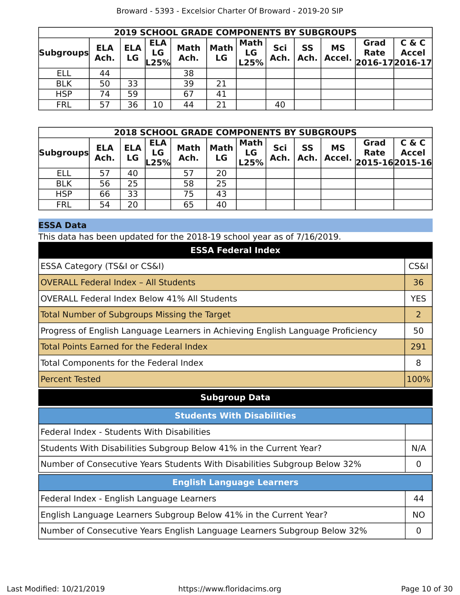| <b>2019 SCHOOL GRADE COMPONENTS BY SUBGROUPS</b> |                    |                  |                          |                     |                   |                           |             |                   |                     |                                     |                       |
|--------------------------------------------------|--------------------|------------------|--------------------------|---------------------|-------------------|---------------------------|-------------|-------------------|---------------------|-------------------------------------|-----------------------|
| <b>Subgroups</b>                                 | <b>ELA</b><br>Ach. | <b>ELA</b><br>LG | <b>ELA</b><br>LG<br>L25% | <b>Math</b><br>Ach. | <b>Math</b><br>LG | <b>Math</b><br>LG<br>L25% | Sci<br>Ach. | <b>SS</b><br>Ach. | <b>MS</b><br>Accel. | Grad<br>Rate<br>$ 2016-17 2016-17 $ | C & C<br><b>Accel</b> |
| ELL                                              | 44                 |                  |                          | 38                  |                   |                           |             |                   |                     |                                     |                       |
| <b>BLK</b>                                       | 50                 | 33               |                          | 39                  | 21                |                           |             |                   |                     |                                     |                       |
| <b>HSP</b>                                       | 74                 | 59               |                          | 67                  | 41                |                           |             |                   |                     |                                     |                       |
| <b>FRL</b>                                       | 57                 | 36               | 10                       | 44                  | つ1                |                           | 40          |                   |                     |                                     |                       |

| <b>2018 SCHOOL GRADE COMPONENTS BY SUBGROUPS</b> |                    |                  |                          |                     |                   |                           |             |            |                     |                                         |                       |
|--------------------------------------------------|--------------------|------------------|--------------------------|---------------------|-------------------|---------------------------|-------------|------------|---------------------|-----------------------------------------|-----------------------|
| <b>Subgroups</b>                                 | <b>ELA</b><br>Ach. | <b>ELA</b><br>LG | <b>ELA</b><br>LG<br>L25% | <b>Math</b><br>Ach. | <b>Math</b><br>LG | <b>Math</b><br>LG<br>L25% | Sci<br>Ach. | SS<br>Ach. | <b>MS</b><br>Accel. | Grad<br>Rate<br>$ 2015 - 16 2015 - 16 $ | C & C<br><b>Accel</b> |
| ELL                                              | 57                 | 40               |                          | 57                  | 20                |                           |             |            |                     |                                         |                       |
| <b>BLK</b>                                       | 56                 | 25               |                          | 58                  | 25                |                           |             |            |                     |                                         |                       |
| <b>HSP</b>                                       | 66                 | 33               |                          | 75                  | 43                |                           |             |            |                     |                                         |                       |
| <b>FRL</b>                                       | 54                 | 20               |                          | 65                  | 40                |                           |             |            |                     |                                         |                       |

## **ESSA Data**

This data has been updated for the 2018-19 school year as of 7/16/2019.

| ESSA Category (TS&I or CS&I)                                                    | <b>CS&amp;I</b> |
|---------------------------------------------------------------------------------|-----------------|
| <b>OVERALL Federal Index - All Students</b>                                     | 36              |
| OVERALL Federal Index Below 41% All Students                                    | <b>YES</b>      |
| Total Number of Subgroups Missing the Target                                    | 2               |
| Progress of English Language Learners in Achieving English Language Proficiency | 50              |
| <b>Total Points Earned for the Federal Index</b>                                | 291             |
| Total Components for the Federal Index                                          | 8               |
| <b>Percent Tested</b>                                                           | 100%            |

## **Subgroup Data**

| <b>Students With Disabilities</b>                                                                              |                   |
|----------------------------------------------------------------------------------------------------------------|-------------------|
| Federal Index - Students With Disabilities                                                                     |                   |
| Students With Disabilities Subgroup Below 41% in the Current Year?                                             | N/A               |
| Number of Consecutive Years Students With Disabilities Subgroup Below 32%                                      | $\mathbf{\Omega}$ |
| <b>English Language Learners</b>                                                                               |                   |
|                                                                                                                |                   |
|                                                                                                                | 44                |
| Federal Index - English Language Learners<br>English Language Learners Subgroup Below 41% in the Current Year? | <b>NO</b>         |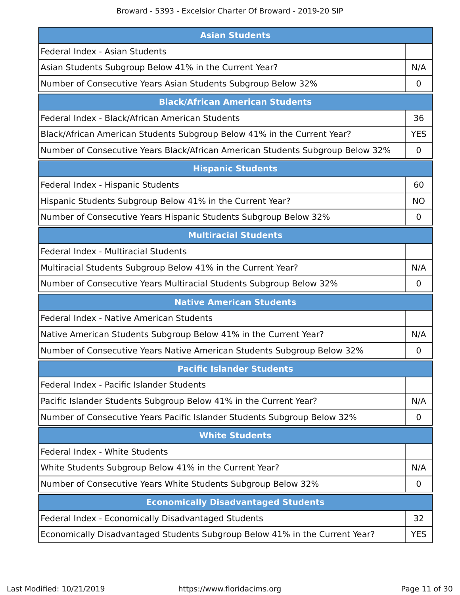## Broward - 5393 - Excelsior Charter Of Broward - 2019-20 SIP

| <b>Asian Students</b>                                                          |             |
|--------------------------------------------------------------------------------|-------------|
| Federal Index - Asian Students                                                 |             |
| Asian Students Subgroup Below 41% in the Current Year?                         | N/A         |
| Number of Consecutive Years Asian Students Subgroup Below 32%                  | 0           |
| <b>Black/African American Students</b>                                         |             |
| Federal Index - Black/African American Students                                | 36          |
| Black/African American Students Subgroup Below 41% in the Current Year?        | <b>YES</b>  |
| Number of Consecutive Years Black/African American Students Subgroup Below 32% | $\mathbf 0$ |
| <b>Hispanic Students</b>                                                       |             |
| Federal Index - Hispanic Students                                              | 60          |
| Hispanic Students Subgroup Below 41% in the Current Year?                      | <b>NO</b>   |
| Number of Consecutive Years Hispanic Students Subgroup Below 32%               | 0           |
| <b>Multiracial Students</b>                                                    |             |
| <b>Federal Index - Multiracial Students</b>                                    |             |
| Multiracial Students Subgroup Below 41% in the Current Year?                   | N/A         |
| Number of Consecutive Years Multiracial Students Subgroup Below 32%            | 0           |
| <b>Native American Students</b>                                                |             |
| Federal Index - Native American Students                                       |             |
| Native American Students Subgroup Below 41% in the Current Year?               | N/A         |
| Number of Consecutive Years Native American Students Subgroup Below 32%        | 0           |
| <b>Pacific Islander Students</b>                                               |             |
| Federal Index - Pacific Islander Students                                      |             |
| Pacific Islander Students Subgroup Below 41% in the Current Year?              | N/A         |
| Number of Consecutive Years Pacific Islander Students Subgroup Below 32%       | $\mathbf 0$ |
| <b>White Students</b>                                                          |             |
| Federal Index - White Students                                                 |             |
| White Students Subgroup Below 41% in the Current Year?                         | N/A         |
| Number of Consecutive Years White Students Subgroup Below 32%                  | 0           |
| <b>Economically Disadvantaged Students</b>                                     |             |
| Federal Index - Economically Disadvantaged Students                            | 32          |
| Economically Disadvantaged Students Subgroup Below 41% in the Current Year?    | <b>YES</b>  |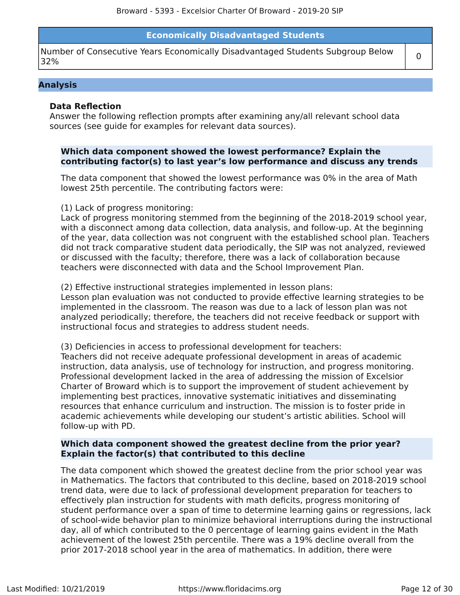## **Economically Disadvantaged Students**

Number of Consecutive Years Economically Disadvantaged Students Subgroup Below  $\begin{bmatrix} 0 \end{bmatrix}$ 

#### **Analysis**

### **Data Reflection**

Answer the following reflection prompts after examining any/all relevant school data sources (see guide for examples for relevant data sources).

### **Which data component showed the lowest performance? Explain the contributing factor(s) to last year's low performance and discuss any trends**

The data component that showed the lowest performance was 0% in the area of Math lowest 25th percentile. The contributing factors were:

#### (1) Lack of progress monitoring:

Lack of progress monitoring stemmed from the beginning of the 2018-2019 school year, with a disconnect among data collection, data analysis, and follow-up. At the beginning of the year, data collection was not congruent with the established school plan. Teachers did not track comparative student data periodically, the SIP was not analyzed, reviewed or discussed with the faculty; therefore, there was a lack of collaboration because teachers were disconnected with data and the School Improvement Plan.

#### (2) Effective instructional strategies implemented in lesson plans:

Lesson plan evaluation was not conducted to provide effective learning strategies to be implemented in the classroom. The reason was due to a lack of lesson plan was not analyzed periodically; therefore, the teachers did not receive feedback or support with instructional focus and strategies to address student needs.

#### (3) Deficiencies in access to professional development for teachers:

Teachers did not receive adequate professional development in areas of academic instruction, data analysis, use of technology for instruction, and progress monitoring. Professional development lacked in the area of addressing the mission of Excelsior Charter of Broward which is to support the improvement of student achievement by implementing best practices, innovative systematic initiatives and disseminating resources that enhance curriculum and instruction. The mission is to foster pride in academic achievements while developing our student's artistic abilities. School will follow-up with PD.

### **Which data component showed the greatest decline from the prior year? Explain the factor(s) that contributed to this decline**

The data component which showed the greatest decline from the prior school year was in Mathematics. The factors that contributed to this decline, based on 2018-2019 school trend data, were due to lack of professional development preparation for teachers to effectively plan instruction for students with math deficits, progress monitoring of student performance over a span of time to determine learning gains or regressions, lack of school-wide behavior plan to minimize behavioral interruptions during the instructional day, all of which contributed to the 0 percentage of learning gains evident in the Math achievement of the lowest 25th percentile. There was a 19% decline overall from the prior 2017-2018 school year in the area of mathematics. In addition, there were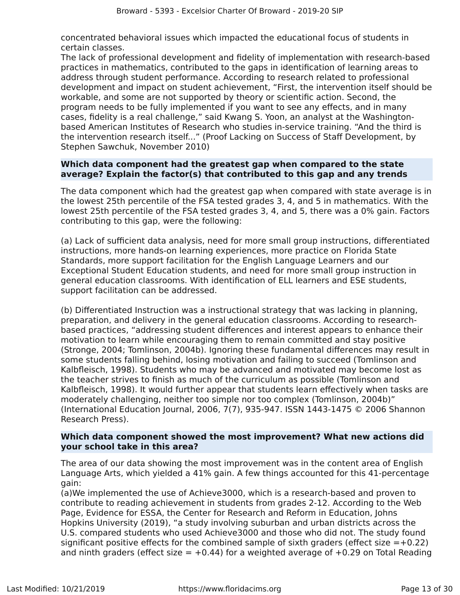concentrated behavioral issues which impacted the educational focus of students in certain classes.

The lack of professional development and fidelity of implementation with research-based practices in mathematics, contributed to the gaps in identification of learning areas to address through student performance. According to research related to professional development and impact on student achievement, "First, the intervention itself should be workable, and some are not supported by theory or scientific action. Second, the program needs to be fully implemented if you want to see any effects, and in many cases, fidelity is a real challenge," said Kwang S. Yoon, an analyst at the Washingtonbased American Institutes of Research who studies in-service training. "And the third is the intervention research itself..." (Proof Lacking on Success of Staff Development, by Stephen Sawchuk, November 2010)

## **Which data component had the greatest gap when compared to the state average? Explain the factor(s) that contributed to this gap and any trends**

The data component which had the greatest gap when compared with state average is in the lowest 25th percentile of the FSA tested grades 3, 4, and 5 in mathematics. With the lowest 25th percentile of the FSA tested grades 3, 4, and 5, there was a 0% gain. Factors contributing to this gap, were the following:

(a) Lack of sufficient data analysis, need for more small group instructions, differentiated instructions, more hands-on learning experiences, more practice on Florida State Standards, more support facilitation for the English Language Learners and our Exceptional Student Education students, and need for more small group instruction in general education classrooms. With identification of ELL learners and ESE students, support facilitation can be addressed.

(b) Differentiated Instruction was a instructional strategy that was lacking in planning, preparation, and delivery in the general education classrooms. According to researchbased practices, "addressing student differences and interest appears to enhance their motivation to learn while encouraging them to remain committed and stay positive (Stronge, 2004; Tomlinson, 2004b). Ignoring these fundamental differences may result in some students falling behind, losing motivation and failing to succeed (Tomlinson and Kalbfleisch, 1998). Students who may be advanced and motivated may become lost as the teacher strives to finish as much of the curriculum as possible (Tomlinson and Kalbfleisch, 1998). It would further appear that students learn effectively when tasks are moderately challenging, neither too simple nor too complex (Tomlinson, 2004b)" (International Education Journal, 2006, 7(7), 935-947. ISSN 1443-1475 © 2006 Shannon Research Press).

## **Which data component showed the most improvement? What new actions did your school take in this area?**

The area of our data showing the most improvement was in the content area of English Language Arts, which yielded a 41% gain. A few things accounted for this 41-percentage gain:

(a)We implemented the use of Achieve3000, which is a research-based and proven to contribute to reading achievement in students from grades 2-12. According to the Web Page, Evidence for ESSA, the Center for Research and Reform in Education, Johns Hopkins University (2019), "a study involving suburban and urban districts across the U.S. compared students who used Achieve3000 and those who did not. The study found significant positive effects for the combined sample of sixth graders (effect size  $=+0.22$ ) and ninth graders (effect size  $= +0.44$ ) for a weighted average of  $+0.29$  on Total Reading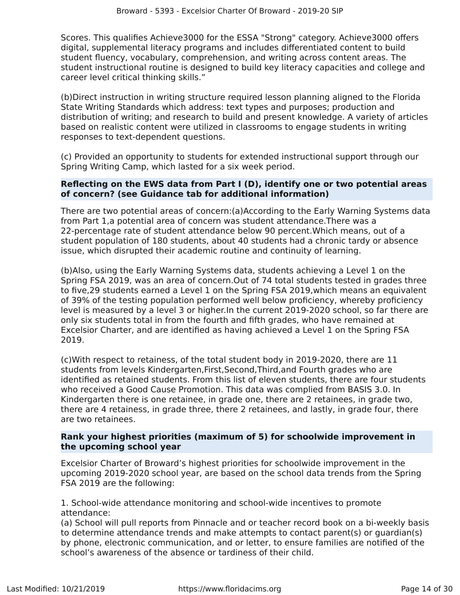Scores. This qualifies Achieve3000 for the ESSA "Strong" category. Achieve3000 offers digital, supplemental literacy programs and includes differentiated content to build student fluency, vocabulary, comprehension, and writing across content areas. The student instructional routine is designed to build key literacy capacities and college and career level critical thinking skills."

(b)Direct instruction in writing structure required lesson planning aligned to the Florida State Writing Standards which address: text types and purposes; production and distribution of writing; and research to build and present knowledge. A variety of articles based on realistic content were utilized in classrooms to engage students in writing responses to text-dependent questions.

(c) Provided an opportunity to students for extended instructional support through our Spring Writing Camp, which lasted for a six week period.

## **Reflecting on the EWS data from Part I (D), identify one or two potential areas of concern? (see Guidance tab for additional information)**

There are two potential areas of concern:(a)According to the Early Warning Systems data from Part 1,a potential area of concern was student attendance.There was a 22-percentage rate of student attendance below 90 percent.Which means, out of a student population of 180 students, about 40 students had a chronic tardy or absence issue, which disrupted their academic routine and continuity of learning.

(b)Also, using the Early Warning Systems data, students achieving a Level 1 on the Spring FSA 2019, was an area of concern.Out of 74 total students tested in grades three to five,29 students earned a Level 1 on the Spring FSA 2019,which means an equivalent of 39% of the testing population performed well below proficiency, whereby proficiency level is measured by a level 3 or higher.In the current 2019-2020 school, so far there are only six students total in from the fourth and fifth grades, who have remained at Excelsior Charter, and are identified as having achieved a Level 1 on the Spring FSA 2019.

(c)With respect to retainess, of the total student body in 2019-2020, there are 11 students from levels Kindergarten,First,Second,Third,and Fourth grades who are identified as retained students. From this list of eleven students, there are four students who received a Good Cause Promotion. This data was complied from BASIS 3.0. In Kindergarten there is one retainee, in grade one, there are 2 retainees, in grade two, there are 4 retainess, in grade three, there 2 retainees, and lastly, in grade four, there are two retainees.

## **Rank your highest priorities (maximum of 5) for schoolwide improvement in the upcoming school year**

Excelsior Charter of Broward's highest priorities for schoolwide improvement in the upcoming 2019-2020 school year, are based on the school data trends from the Spring FSA 2019 are the following:

1. School-wide attendance monitoring and school-wide incentives to promote attendance:

(a) School will pull reports from Pinnacle and or teacher record book on a bi-weekly basis to determine attendance trends and make attempts to contact parent(s) or guardian(s) by phone, electronic communication, and or letter, to ensure families are notified of the school's awareness of the absence or tardiness of their child.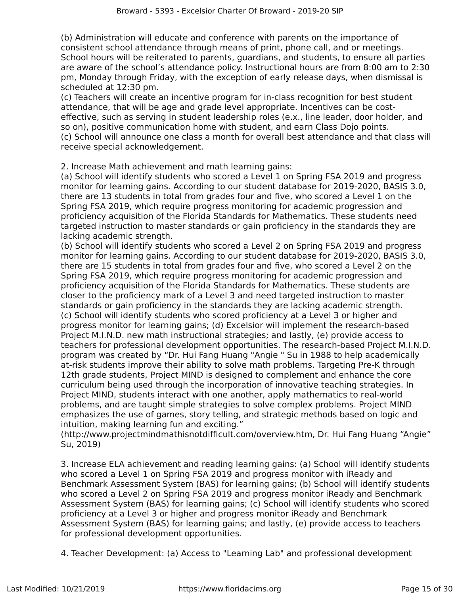(b) Administration will educate and conference with parents on the importance of consistent school attendance through means of print, phone call, and or meetings. School hours will be reiterated to parents, guardians, and students, to ensure all parties are aware of the school's attendance policy. Instructional hours are from 8:00 am to 2:30 pm, Monday through Friday, with the exception of early release days, when dismissal is scheduled at 12:30 pm.

(c) Teachers will create an incentive program for in-class recognition for best student attendance, that will be age and grade level appropriate. Incentives can be costeffective, such as serving in student leadership roles (e.x., line leader, door holder, and so on), positive communication home with student, and earn Class Dojo points. (c) School will announce one class a month for overall best attendance and that class will receive special acknowledgement.

2. Increase Math achievement and math learning gains:

(a) School will identify students who scored a Level 1 on Spring FSA 2019 and progress monitor for learning gains. According to our student database for 2019-2020, BASIS 3.0, there are 13 students in total from grades four and five, who scored a Level 1 on the Spring FSA 2019, which require progress monitoring for academic progression and proficiency acquisition of the Florida Standards for Mathematics. These students need targeted instruction to master standards or gain proficiency in the standards they are lacking academic strength.

(b) School will identify students who scored a Level 2 on Spring FSA 2019 and progress monitor for learning gains. According to our student database for 2019-2020, BASIS 3.0, there are 15 students in total from grades four and five, who scored a Level 2 on the Spring FSA 2019, which require progress monitoring for academic progression and proficiency acquisition of the Florida Standards for Mathematics. These students are closer to the proficiency mark of a Level 3 and need targeted instruction to master standards or gain proficiency in the standards they are lacking academic strength. (c) School will identify students who scored proficiency at a Level 3 or higher and progress monitor for learning gains; (d) Excelsior will implement the research-based Project M.I.N.D. new math instructional strategies; and lastly, (e) provide access to teachers for professional development opportunities. The research-based Project M.I.N.D. program was created by "Dr. Hui Fang Huang "Angie " Su in 1988 to help academically at-risk students improve their ability to solve math problems. Targeting Pre-K through 12th grade students, Project MIND is designed to complement and enhance the core curriculum being used through the incorporation of innovative teaching strategies. In Project MIND, students interact with one another, apply mathematics to real-world problems, and are taught simple strategies to solve complex problems. Project MIND emphasizes the use of games, story telling, and strategic methods based on logic and intuition, making learning fun and exciting."

(http://www.projectmindmathisnotdifficult.com/overview.htm, Dr. Hui Fang Huang "Angie" Su, 2019)

3. Increase ELA achievement and reading learning gains: (a) School will identify students who scored a Level 1 on Spring FSA 2019 and progress monitor with iReady and Benchmark Assessment System (BAS) for learning gains; (b) School will identify students who scored a Level 2 on Spring FSA 2019 and progress monitor iReady and Benchmark Assessment System (BAS) for learning gains; (c) School will identify students who scored proficiency at a Level 3 or higher and progress monitor iReady and Benchmark Assessment System (BAS) for learning gains; and lastly, (e) provide access to teachers for professional development opportunities.

4. Teacher Development: (a) Access to "Learning Lab" and professional development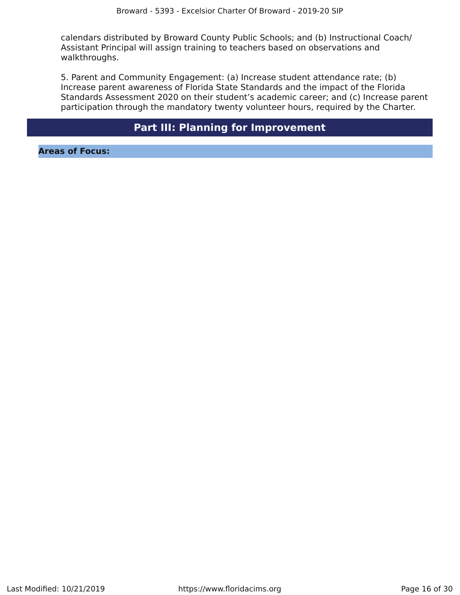calendars distributed by Broward County Public Schools; and (b) Instructional Coach/ Assistant Principal will assign training to teachers based on observations and walkthroughs.

5. Parent and Community Engagement: (a) Increase student attendance rate; (b) Increase parent awareness of Florida State Standards and the impact of the Florida Standards Assessment 2020 on their student's academic career; and (c) Increase parent participation through the mandatory twenty volunteer hours, required by the Charter.

## **Part III: Planning for Improvement**

<span id="page-15-0"></span>**Areas of Focus:**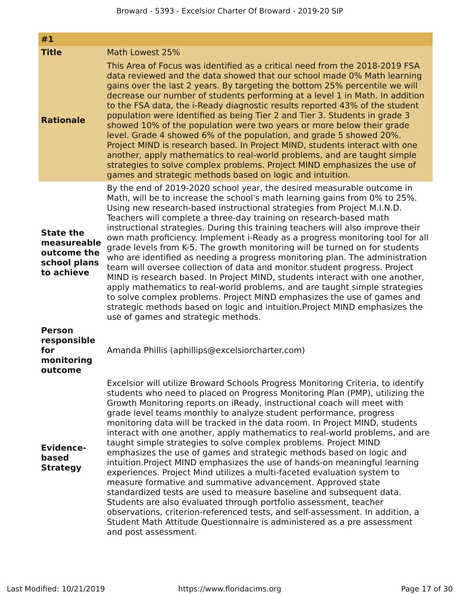| #1                                                                           |                                                                                                                                                                                                                                                                                                                                                                                                                                                                                                                                                                                                                                                                                                                                                                                                                                                                                                                                                                                                                                                                                                                                                                                       |
|------------------------------------------------------------------------------|---------------------------------------------------------------------------------------------------------------------------------------------------------------------------------------------------------------------------------------------------------------------------------------------------------------------------------------------------------------------------------------------------------------------------------------------------------------------------------------------------------------------------------------------------------------------------------------------------------------------------------------------------------------------------------------------------------------------------------------------------------------------------------------------------------------------------------------------------------------------------------------------------------------------------------------------------------------------------------------------------------------------------------------------------------------------------------------------------------------------------------------------------------------------------------------|
| <b>Title</b>                                                                 | Math Lowest 25%                                                                                                                                                                                                                                                                                                                                                                                                                                                                                                                                                                                                                                                                                                                                                                                                                                                                                                                                                                                                                                                                                                                                                                       |
| <b>Rationale</b>                                                             | This Area of Focus was identified as a critical need from the 2018-2019 FSA<br>data reviewed and the data showed that our school made 0% Math learning<br>gains over the last 2 years. By targeting the bottom 25% percentile we will<br>decrease our number of students performing at a level 1 in Math. In addition<br>to the FSA data, the i-Ready diagnostic results reported 43% of the student<br>population were identified as being Tier 2 and Tier 3. Students in grade 3<br>showed 10% of the population were two years or more below their grade<br>level. Grade 4 showed 6% of the population, and grade 5 showed 20%.<br>Project MIND is research based. In Project MIND, students interact with one<br>another, apply mathematics to real-world problems, and are taught simple<br>strategies to solve complex problems. Project MIND emphasizes the use of<br>games and strategic methods based on logic and intuition.                                                                                                                                                                                                                                                |
| <b>State the</b><br>measureable<br>outcome the<br>school plans<br>to achieve | By the end of 2019-2020 school year, the desired measurable outcome in<br>Math, will be to increase the school's math learning gains from 0% to 25%.<br>Using new research-based instructional strategies from Project M.I.N.D.<br>Teachers will complete a three-day training on research-based math<br>instructional strategies. During this training teachers will also improve their<br>own math proficiency. Implement i-Ready as a progress monitoring tool for all<br>grade levels from K-5. The growth monitoring will be turned on for students<br>who are identified as needing a progress monitoring plan. The administration<br>team will oversee collection of data and monitor student progress. Project<br>MIND is research based. In Project MIND, students interact with one another,<br>apply mathematics to real-world problems, and are taught simple strategies<br>to solve complex problems. Project MIND emphasizes the use of games and<br>strategic methods based on logic and intuition. Project MIND emphasizes the<br>use of games and strategic methods.                                                                                                 |
| <b>Person</b><br>responsible<br>for<br>monitoring<br>outcome                 | Amanda Phillis (aphillips@excelsiorcharter.com)                                                                                                                                                                                                                                                                                                                                                                                                                                                                                                                                                                                                                                                                                                                                                                                                                                                                                                                                                                                                                                                                                                                                       |
| <b>Evidence-</b><br>based<br><b>Strategy</b>                                 | Excelsior will utilize Broward Schools Progress Monitoring Criteria, to identify<br>students who need to placed on Progress Monitoring Plan (PMP), utilizing the<br>Growth Monitoring reports on iReady, instructional coach will meet with<br>grade level teams monthly to analyze student performance, progress<br>monitoring data will be tracked in the data room. In Project MIND, students<br>interact with one another, apply mathematics to real-world problems, and are<br>taught simple strategies to solve complex problems. Project MIND<br>emphasizes the use of games and strategic methods based on logic and<br>intuition. Project MIND emphasizes the use of hands-on meaningful learning<br>experiences. Project Mind utilizes a multi-faceted evaluation system to<br>measure formative and summative advancement. Approved state<br>standardized tests are used to measure baseline and subsequent data.<br>Students are also evaluated through portfolio assessment, teacher<br>observations, criterion-referenced tests, and self-assessment. In addition, a<br>Student Math Attitude Questionnaire is administered as a pre assessment<br>and post assessment. |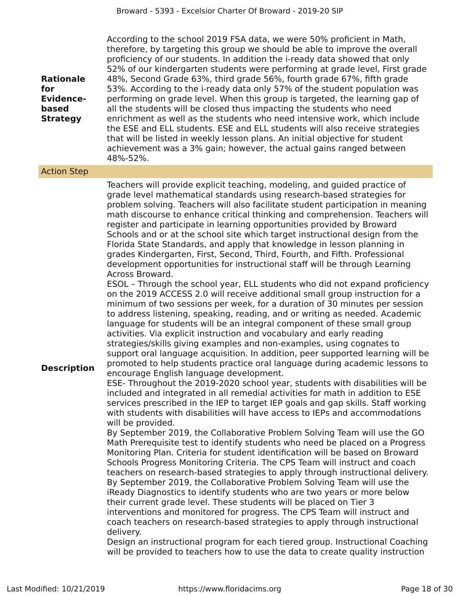| <b>Rationale</b><br>for<br><b>Evidence-</b><br>based<br><b>Strategy</b> | According to the school 2019 FSA data, we were 50% proficient in Math,<br>therefore, by targeting this group we should be able to improve the overall<br>proficiency of our students. In addition the i-ready data showed that only<br>52% of our kindergarten students were performing at grade level, First grade<br>48%, Second Grade 63%, third grade 56%, fourth grade 67%, fifth grade<br>53%. According to the i-ready data only 57% of the student population was<br>performing on grade level. When this group is targeted, the learning gap of<br>all the students will be closed thus impacting the students who need<br>enrichment as well as the students who need intensive work, which include<br>the ESE and ELL students. ESE and ELL students will also receive strategies<br>that will be listed in weekly lesson plans. An initial objective for student<br>achievement was a 3% gain; however, the actual gains ranged between<br>48%-52%.                                                                                                                                                                                                                                                                                                                                                                                                                                                                                                                                                                                                                                                                                                                                                                                                                                                                                                                                                                                                                                                                                                                                                                                                                                                                                                                                                                                                                                                                                                                                                                                                                                                                                                                                                                                                                                                                                                 |
|-------------------------------------------------------------------------|-----------------------------------------------------------------------------------------------------------------------------------------------------------------------------------------------------------------------------------------------------------------------------------------------------------------------------------------------------------------------------------------------------------------------------------------------------------------------------------------------------------------------------------------------------------------------------------------------------------------------------------------------------------------------------------------------------------------------------------------------------------------------------------------------------------------------------------------------------------------------------------------------------------------------------------------------------------------------------------------------------------------------------------------------------------------------------------------------------------------------------------------------------------------------------------------------------------------------------------------------------------------------------------------------------------------------------------------------------------------------------------------------------------------------------------------------------------------------------------------------------------------------------------------------------------------------------------------------------------------------------------------------------------------------------------------------------------------------------------------------------------------------------------------------------------------------------------------------------------------------------------------------------------------------------------------------------------------------------------------------------------------------------------------------------------------------------------------------------------------------------------------------------------------------------------------------------------------------------------------------------------------------------------------------------------------------------------------------------------------------------------------------------------------------------------------------------------------------------------------------------------------------------------------------------------------------------------------------------------------------------------------------------------------------------------------------------------------------------------------------------------------------------------------------------------------------------------------------------------------|
| <b>Action Step</b>                                                      |                                                                                                                                                                                                                                                                                                                                                                                                                                                                                                                                                                                                                                                                                                                                                                                                                                                                                                                                                                                                                                                                                                                                                                                                                                                                                                                                                                                                                                                                                                                                                                                                                                                                                                                                                                                                                                                                                                                                                                                                                                                                                                                                                                                                                                                                                                                                                                                                                                                                                                                                                                                                                                                                                                                                                                                                                                                                 |
| <b>Description</b>                                                      | Teachers will provide explicit teaching, modeling, and guided practice of<br>grade level mathematical standards using research-based strategies for<br>problem solving. Teachers will also facilitate student participation in meaning<br>math discourse to enhance critical thinking and comprehension. Teachers will<br>register and participate in learning opportunities provided by Broward<br>Schools and or at the school site which target instructional design from the<br>Florida State Standards, and apply that knowledge in lesson planning in<br>grades Kindergarten, First, Second, Third, Fourth, and Fifth. Professional<br>development opportunities for instructional staff will be through Learning<br>Across Broward.<br>ESOL - Through the school year, ELL students who did not expand proficiency<br>on the 2019 ACCESS 2.0 will receive additional small group instruction for a<br>minimum of two sessions per week, for a duration of 30 minutes per session<br>to address listening, speaking, reading, and or writing as needed. Academic<br>language for students will be an integral component of these small group<br>activities. Via explicit instruction and vocabulary and early reading<br>strategies/skills giving examples and non-examples, using cognates to<br>support oral language acquisition. In addition, peer supported learning will be<br>promoted to help students practice oral language during academic lessons to<br>encourage English language development.<br>ESE- Throughout the 2019-2020 school year, students with disabilities will be<br>included and integrated in all remedial activities for math in addition to ESE<br>services prescribed in the IEP to target IEP goals and gap skills. Staff working<br>with students with disabilities will have access to IEPs and accommodations<br>will be provided.<br>By September 2019, the Collaborative Problem Solving Team will use the GO<br>Math Prerequisite test to identify students who need be placed on a Progress<br>Monitoring Plan. Criteria for student identification will be based on Broward<br>Schools Progress Monitoring Criteria. The CPS Team will instruct and coach<br>teachers on research-based strategies to apply through instructional delivery.<br>By September 2019, the Collaborative Problem Solving Team will use the<br>iReady Diagnostics to identify students who are two years or more below<br>their current grade level. These students will be placed on Tier 3<br>interventions and monitored for progress. The CPS Team will instruct and<br>coach teachers on research-based strategies to apply through instructional<br>delivery.<br>Design an instructional program for each tiered group. Instructional Coaching<br>will be provided to teachers how to use the data to create quality instruction |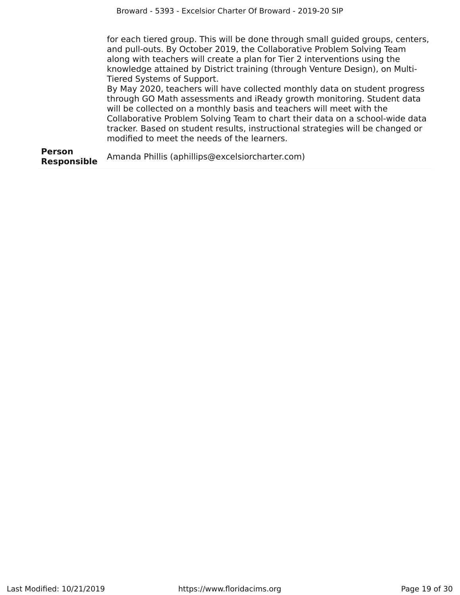for each tiered group. This will be done through small guided groups, centers, and pull-outs. By October 2019, the Collaborative Problem Solving Team along with teachers will create a plan for Tier 2 interventions using the knowledge attained by District training (through Venture Design), on Multi-Tiered Systems of Support.

By May 2020, teachers will have collected monthly data on student progress through GO Math assessments and iReady growth monitoring. Student data will be collected on a monthly basis and teachers will meet with the Collaborative Problem Solving Team to chart their data on a school-wide data tracker. Based on student results, instructional strategies will be changed or modified to meet the needs of the learners.

**Person Responsible** Amanda Phillis (aphillips@excelsiorcharter.com)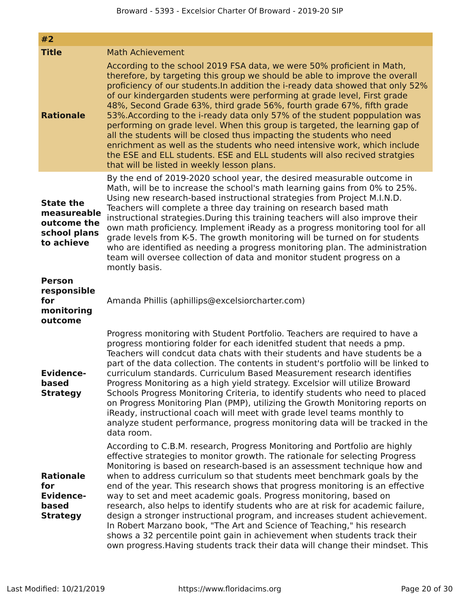| #2                                                                           |                                                                                                                                                                                                                                                                                                                                                                                                                                                                                                                                                                                                                                                                                                                                                                                                                                                                                     |
|------------------------------------------------------------------------------|-------------------------------------------------------------------------------------------------------------------------------------------------------------------------------------------------------------------------------------------------------------------------------------------------------------------------------------------------------------------------------------------------------------------------------------------------------------------------------------------------------------------------------------------------------------------------------------------------------------------------------------------------------------------------------------------------------------------------------------------------------------------------------------------------------------------------------------------------------------------------------------|
| <b>Title</b>                                                                 | <b>Math Achievement</b>                                                                                                                                                                                                                                                                                                                                                                                                                                                                                                                                                                                                                                                                                                                                                                                                                                                             |
| <b>Rationale</b>                                                             | According to the school 2019 FSA data, we were 50% proficient in Math,<br>therefore, by targeting this group we should be able to improve the overall<br>proficiency of our students. In addition the i-ready data showed that only 52%<br>of our kindergarden students were performing at grade level, First grade<br>48%, Second Grade 63%, third grade 56%, fourth grade 67%, fifth grade<br>53%. According to the i-ready data only 57% of the student poppulation was<br>performing on grade level. When this group is targeted, the learning gap of<br>all the students will be closed thus impacting the students who need<br>enrichment as well as the students who need intensive work, which include<br>the ESE and ELL students. ESE and ELL students will also recived stratgies<br>that will be listed in weekly lesson plans.                                         |
| <b>State the</b><br>measureable<br>outcome the<br>school plans<br>to achieve | By the end of 2019-2020 school year, the desired measurable outcome in<br>Math, will be to increase the school's math learning gains from 0% to 25%.<br>Using new research-based instructional strategies from Project M.I.N.D.<br>Teachers will complete a three day training on research based math<br>instructional strategies. During this training teachers will also improve their<br>own math proficiency. Implement iReady as a progress monitoring tool for all<br>grade levels from K-5. The growth monitoring will be turned on for students<br>who are identified as needing a progress monitoring plan. The administration<br>team will oversee collection of data and monitor student progress on a<br>montly basis.                                                                                                                                                  |
| <b>Person</b><br>responsible<br>for<br>monitoring<br>outcome                 | Amanda Phillis (aphillips@excelsiorcharter.com)                                                                                                                                                                                                                                                                                                                                                                                                                                                                                                                                                                                                                                                                                                                                                                                                                                     |
| <b>Evidence-</b><br>based<br><b>Strategy</b>                                 | Progress monitoring with Student Portfolio. Teachers are required to have a<br>progress montioring folder for each idenitfed student that needs a pmp.<br>Teachers will condcut data chats with their students and have students be a<br>part of the data collection. The contents in student's portfolio will be linked to<br>curriculum standards. Curriculum Based Measurement research identifies<br>Progress Monitoring as a high yield strategy. Excelsior will utilize Broward<br>Schools Progress Monitoring Criteria, to identify students who need to placed<br>on Progress Monitoring Plan (PMP), utilizing the Growth Monitoring reports on<br>iReady, instructional coach will meet with grade level teams monthly to<br>analyze student performance, progress monitoring data will be tracked in the<br>data room.                                                    |
| <b>Rationale</b><br>for<br><b>Evidence-</b><br>based<br><b>Strategy</b>      | According to C.B.M. research, Progress Monitoring and Portfolio are highly<br>effective strategies to monitor growth. The rationale for selecting Progress<br>Monitoring is based on research-based is an assessment technique how and<br>when to address curriculum so that students meet benchmark goals by the<br>end of the year. This research shows that progress monitoring is an effective<br>way to set and meet academic goals. Progress monitoring, based on<br>research, also helps to identify students who are at risk for academic failure,<br>design a stronger instructional program, and increases student achievement.<br>In Robert Marzano book, "The Art and Science of Teaching," his research<br>shows a 32 percentile point gain in achievement when students track their<br>own progress. Having students track their data will change their mindset. This |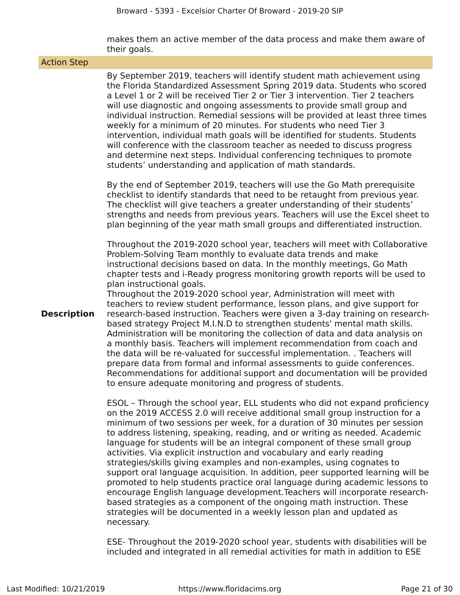makes them an active member of the data process and make them aware of their goals.

| <b>Action Step</b> |                                                                                                                                                                                                                                                                                                                                                                                                                                                                                                                                                                                                                                                                                                                                                                                                                                                                                   |  |  |  |  |
|--------------------|-----------------------------------------------------------------------------------------------------------------------------------------------------------------------------------------------------------------------------------------------------------------------------------------------------------------------------------------------------------------------------------------------------------------------------------------------------------------------------------------------------------------------------------------------------------------------------------------------------------------------------------------------------------------------------------------------------------------------------------------------------------------------------------------------------------------------------------------------------------------------------------|--|--|--|--|
|                    | By September 2019, teachers will identify student math achievement using<br>the Florida Standardized Assessment Spring 2019 data. Students who scored<br>a Level 1 or 2 will be received Tier 2 or Tier 3 intervention. Tier 2 teachers<br>will use diagnostic and ongoing assessments to provide small group and<br>individual instruction. Remedial sessions will be provided at least three times<br>weekly for a minimum of 20 minutes. For students who need Tier 3<br>intervention, individual math goals will be identified for students. Students<br>will conference with the classroom teacher as needed to discuss progress<br>and determine next steps. Individual conferencing techniques to promote<br>students' understanding and application of math standards.                                                                                                    |  |  |  |  |
|                    | By the end of September 2019, teachers will use the Go Math prerequisite<br>checklist to identify standards that need to be retaught from previous year.<br>The checklist will give teachers a greater understanding of their students'<br>strengths and needs from previous years. Teachers will use the Excel sheet to<br>plan beginning of the year math small groups and differentiated instruction.                                                                                                                                                                                                                                                                                                                                                                                                                                                                          |  |  |  |  |
|                    | Throughout the 2019-2020 school year, teachers will meet with Collaborative<br>Problem-Solving Team monthly to evaluate data trends and make<br>instructional decisions based on data. In the monthly meetings, Go Math<br>chapter tests and i-Ready progress monitoring growth reports will be used to<br>plan instructional goals.<br>Throughout the 2019-2020 school year, Administration will meet with<br>teachers to review student performance, lesson plans, and give support for                                                                                                                                                                                                                                                                                                                                                                                         |  |  |  |  |
| <b>Description</b> | research-based instruction. Teachers were given a 3-day training on research-<br>based strategy Project M.I.N.D to strengthen students' mental math skills.<br>Administration will be monitoring the collection of data and data analysis on<br>a monthly basis. Teachers will implement recommendation from coach and<br>the data will be re-valuated for successful implementation. . Teachers will<br>prepare data from formal and informal assessments to guide conferences.<br>Recommendations for additional support and documentation will be provided<br>to ensure adequate monitoring and progress of students.                                                                                                                                                                                                                                                          |  |  |  |  |
|                    | ESOL - Through the school year, ELL students who did not expand proficiency<br>on the 2019 ACCESS 2.0 will receive additional small group instruction for a<br>minimum of two sessions per week, for a duration of 30 minutes per session<br>to address listening, speaking, reading, and or writing as needed. Academic<br>language for students will be an integral component of these small group<br>activities. Via explicit instruction and vocabulary and early reading<br>strategies/skills giving examples and non-examples, using cognates to<br>support oral language acquisition. In addition, peer supported learning will be<br>promoted to help students practice oral language during academic lessons to<br>encourage English language development. Teachers will incorporate research-<br>based strategies as a component of the ongoing math instruction. These |  |  |  |  |

ESE- Throughout the 2019-2020 school year, students with disabilities will be included and integrated in all remedial activities for math in addition to ESE

strategies will be documented in a weekly lesson plan and updated as

necessary.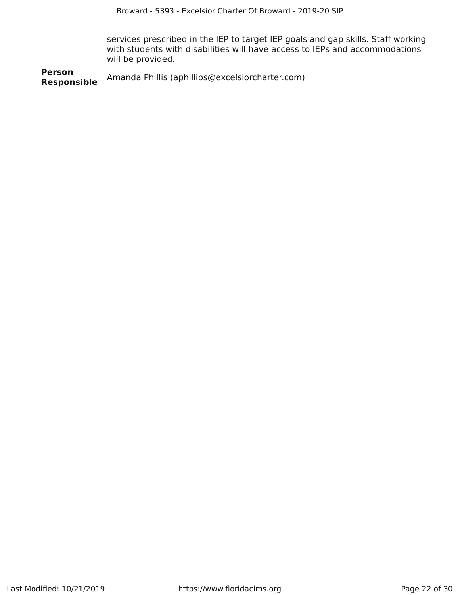services prescribed in the IEP to target IEP goals and gap skills. Staff working with students with disabilities will have access to IEPs and accommodations will be provided.

**Person Responsible** Amanda Phillis (aphillips@excelsiorcharter.com)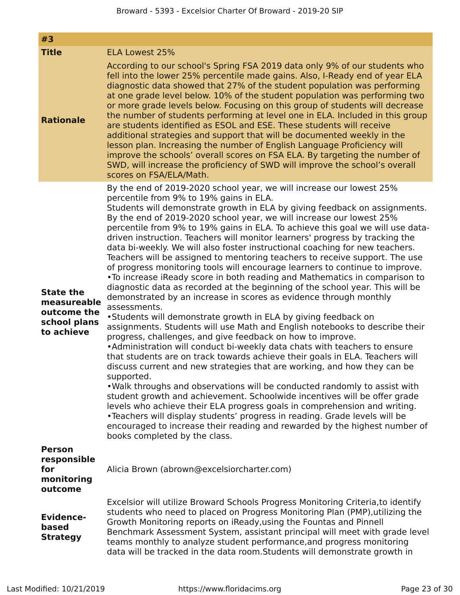| #3                                                                           |                                                                                                                                                                                                                                                                                                                                                                                                                                                                                                                                                                                                                                                                                                                                                                                                                                                                                                                                                                                                                                                                                                                                                                                                                                                                                                                                                                                                                                                                                                                                                                                                                                                                                                                                                                                                                                                        |
|------------------------------------------------------------------------------|--------------------------------------------------------------------------------------------------------------------------------------------------------------------------------------------------------------------------------------------------------------------------------------------------------------------------------------------------------------------------------------------------------------------------------------------------------------------------------------------------------------------------------------------------------------------------------------------------------------------------------------------------------------------------------------------------------------------------------------------------------------------------------------------------------------------------------------------------------------------------------------------------------------------------------------------------------------------------------------------------------------------------------------------------------------------------------------------------------------------------------------------------------------------------------------------------------------------------------------------------------------------------------------------------------------------------------------------------------------------------------------------------------------------------------------------------------------------------------------------------------------------------------------------------------------------------------------------------------------------------------------------------------------------------------------------------------------------------------------------------------------------------------------------------------------------------------------------------------|
| <b>Title</b>                                                                 | <b>ELA Lowest 25%</b>                                                                                                                                                                                                                                                                                                                                                                                                                                                                                                                                                                                                                                                                                                                                                                                                                                                                                                                                                                                                                                                                                                                                                                                                                                                                                                                                                                                                                                                                                                                                                                                                                                                                                                                                                                                                                                  |
| <b>Rationale</b>                                                             | According to our school's Spring FSA 2019 data only 9% of our students who<br>fell into the lower 25% percentile made gains. Also, I-Ready end of year ELA<br>diagnostic data showed that 27% of the student population was performing<br>at one grade level below. 10% of the student population was performing two<br>or more grade levels below. Focusing on this group of students will decrease<br>the number of students performing at level one in ELA. Included in this group<br>are students identified as ESOL and ESE. These students will receive<br>additional strategies and support that will be documented weekly in the<br>lesson plan. Increasing the number of English Language Proficiency will<br>improve the schools' overall scores on FSA ELA. By targeting the number of<br>SWD, will increase the proficiency of SWD will improve the school's overall<br>scores on FSA/ELA/Math.                                                                                                                                                                                                                                                                                                                                                                                                                                                                                                                                                                                                                                                                                                                                                                                                                                                                                                                                            |
| <b>State the</b><br>measureable<br>outcome the<br>school plans<br>to achieve | By the end of 2019-2020 school year, we will increase our lowest 25%<br>percentile from 9% to 19% gains in ELA.<br>Students will demonstrate growth in ELA by giving feedback on assignments.<br>By the end of 2019-2020 school year, we will increase our lowest 25%<br>percentile from 9% to 19% gains in ELA. To achieve this goal we will use data-<br>driven instruction. Teachers will monitor learners' progress by tracking the<br>data bi-weekly. We will also foster instructional coaching for new teachers.<br>Teachers will be assigned to mentoring teachers to receive support. The use<br>of progress monitoring tools will encourage learners to continue to improve.<br>. To increase iReady score in both reading and Mathematics in comparison to<br>diagnostic data as recorded at the beginning of the school year. This will be<br>demonstrated by an increase in scores as evidence through monthly<br>assessments.<br>•Students will demonstrate growth in ELA by giving feedback on<br>assignments. Students will use Math and English notebooks to describe their<br>progress, challenges, and give feedback on how to improve.<br>•Administration will conduct bi-weekly data chats with teachers to ensure<br>that students are on track towards achieve their goals in ELA. Teachers will<br>discuss current and new strategies that are working, and how they can be<br>supported.<br>. Walk throughs and observations will be conducted randomly to assist with<br>student growth and achievement. Schoolwide incentives will be offer grade<br>levels who achieve their ELA progress goals in comprehension and writing.<br>•Teachers will display students' progress in reading. Grade levels will be<br>encouraged to increase their reading and rewarded by the highest number of<br>books completed by the class. |
| <b>Person</b><br>responsible<br>for<br>monitoring<br>outcome                 | Alicia Brown (abrown@excelsiorcharter.com)                                                                                                                                                                                                                                                                                                                                                                                                                                                                                                                                                                                                                                                                                                                                                                                                                                                                                                                                                                                                                                                                                                                                                                                                                                                                                                                                                                                                                                                                                                                                                                                                                                                                                                                                                                                                             |
| <b>Evidence-</b><br>based<br><b>Strategy</b>                                 | Excelsior will utilize Broward Schools Progress Monitoring Criteria, to identify<br>students who need to placed on Progress Monitoring Plan (PMP), utilizing the<br>Growth Monitoring reports on iReady, using the Fountas and Pinnell<br>Benchmark Assessment System, assistant principal will meet with grade level<br>teams monthly to analyze student performance, and progress monitoring<br>data will be tracked in the data room. Students will demonstrate growth in                                                                                                                                                                                                                                                                                                                                                                                                                                                                                                                                                                                                                                                                                                                                                                                                                                                                                                                                                                                                                                                                                                                                                                                                                                                                                                                                                                           |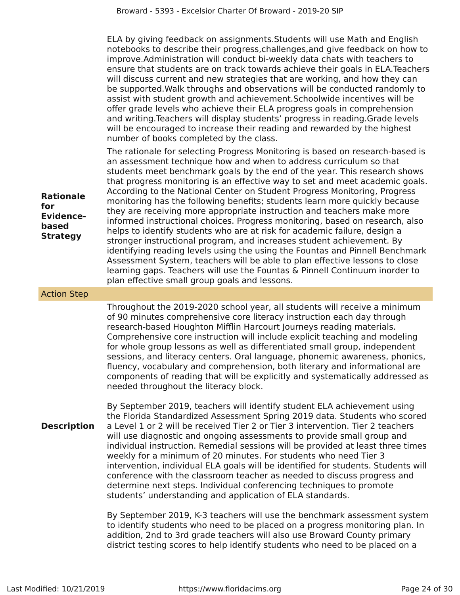ELA by giving feedback on assignments.Students will use Math and English notebooks to describe their progress,challenges,and give feedback on how to improve.Administration will conduct bi-weekly data chats with teachers to ensure that students are on track towards achieve their goals in ELA.Teachers will discuss current and new strategies that are working, and how they can be supported.Walk throughs and observations will be conducted randomly to assist with student growth and achievement.Schoolwide incentives will be offer grade levels who achieve their ELA progress goals in comprehension and writing.Teachers will display students' progress in reading.Grade levels will be encouraged to increase their reading and rewarded by the highest number of books completed by the class.

The rationale for selecting Progress Monitoring is based on research-based is an assessment technique how and when to address curriculum so that students meet benchmark goals by the end of the year. This research shows that progress monitoring is an effective way to set and meet academic goals. According to the National Center on Student Progress Monitoring, Progress monitoring has the following benefits; students learn more quickly because they are receiving more appropriate instruction and teachers make more informed instructional choices. Progress monitoring, based on research, also helps to identify students who are at risk for academic failure, design a stronger instructional program, and increases student achievement. By identifying reading levels using the using the Fountas and Pinnell Benchmark Assessment System, teachers will be able to plan effective lessons to close learning gaps. Teachers will use the Fountas & Pinnell Continuum inorder to plan effective small group goals and lessons.

### Action Step

**Rationale**

**Evidencebased Strategy**

**for**

Throughout the 2019-2020 school year, all students will receive a minimum of 90 minutes comprehensive core literacy instruction each day through research-based Houghton Mifflin Harcourt Journeys reading materials. Comprehensive core instruction will include explicit teaching and modeling for whole group lessons as well as differentiated small group, independent sessions, and literacy centers. Oral language, phonemic awareness, phonics, fluency, vocabulary and comprehension, both literary and informational are components of reading that will be explicitly and systematically addressed as needed throughout the literacy block.

**Description** By September 2019, teachers will identify student ELA achievement using the Florida Standardized Assessment Spring 2019 data. Students who scored a Level 1 or 2 will be received Tier 2 or Tier 3 intervention. Tier 2 teachers will use diagnostic and ongoing assessments to provide small group and individual instruction. Remedial sessions will be provided at least three times weekly for a minimum of 20 minutes. For students who need Tier 3 intervention, individual ELA goals will be identified for students. Students will conference with the classroom teacher as needed to discuss progress and determine next steps. Individual conferencing techniques to promote students' understanding and application of ELA standards.

> By September 2019, K-3 teachers will use the benchmark assessment system to identify students who need to be placed on a progress monitoring plan. In addition, 2nd to 3rd grade teachers will also use Broward County primary district testing scores to help identify students who need to be placed on a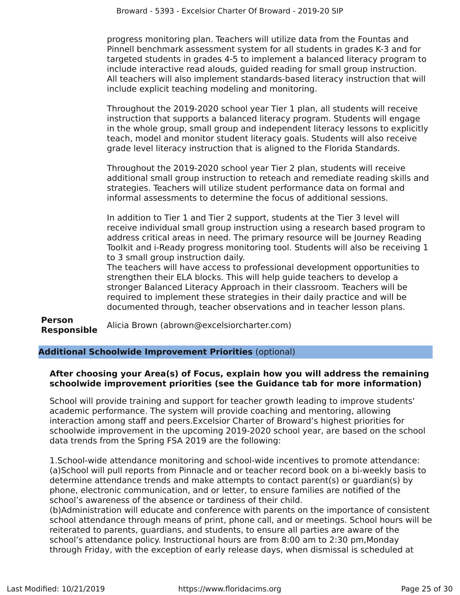progress monitoring plan. Teachers will utilize data from the Fountas and Pinnell benchmark assessment system for all students in grades K-3 and for targeted students in grades 4-5 to implement a balanced literacy program to include interactive read alouds, guided reading for small group instruction. All teachers will also implement standards-based literacy instruction that will include explicit teaching modeling and monitoring.

Throughout the 2019-2020 school year Tier 1 plan, all students will receive instruction that supports a balanced literacy program. Students will engage in the whole group, small group and independent literacy lessons to explicitly teach, model and monitor student literacy goals. Students will also receive grade level literacy instruction that is aligned to the Florida Standards.

Throughout the 2019-2020 school year Tier 2 plan, students will receive additional small group instruction to reteach and remediate reading skills and strategies. Teachers will utilize student performance data on formal and informal assessments to determine the focus of additional sessions.

In addition to Tier 1 and Tier 2 support, students at the Tier 3 level will receive individual small group instruction using a research based program to address critical areas in need. The primary resource will be Journey Reading Toolkit and i-Ready progress monitoring tool. Students will also be receiving 1 to 3 small group instruction daily.

The teachers will have access to professional development opportunities to strengthen their ELA blocks. This will help guide teachers to develop a stronger Balanced Literacy Approach in their classroom. Teachers will be required to implement these strategies in their daily practice and will be documented through, teacher observations and in teacher lesson plans.

**Person Responsible** Alicia Brown (abrown@excelsiorcharter.com)

**Additional Schoolwide Improvement Priorities** (optional)

## **After choosing your Area(s) of Focus, explain how you will address the remaining schoolwide improvement priorities (see the Guidance tab for more information)**

School will provide training and support for teacher growth leading to improve students' academic performance. The system will provide coaching and mentoring, allowing interaction among staff and peers.Excelsior Charter of Broward's highest priorities for schoolwide improvement in the upcoming 2019-2020 school year, are based on the school data trends from the Spring FSA 2019 are the following:

1.School-wide attendance monitoring and school-wide incentives to promote attendance: (a)School will pull reports from Pinnacle and or teacher record book on a bi-weekly basis to determine attendance trends and make attempts to contact parent(s) or guardian(s) by phone, electronic communication, and or letter, to ensure families are notified of the school's awareness of the absence or tardiness of their child.

(b)Administration will educate and conference with parents on the importance of consistent school attendance through means of print, phone call, and or meetings. School hours will be reiterated to parents, guardians, and students, to ensure all parties are aware of the school's attendance policy. Instructional hours are from 8:00 am to 2:30 pm,Monday through Friday, with the exception of early release days, when dismissal is scheduled at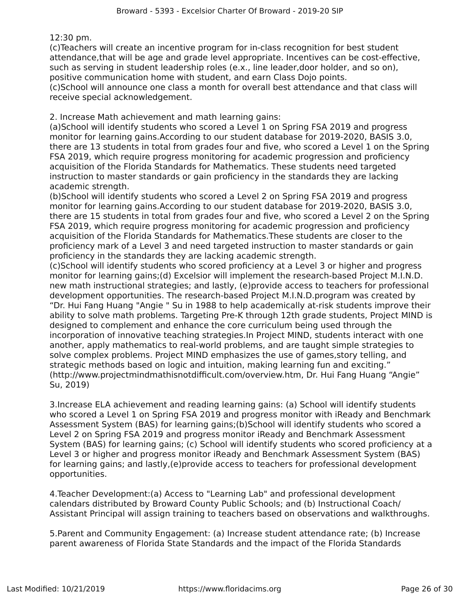12:30 pm.

(c)Teachers will create an incentive program for in-class recognition for best student attendance,that will be age and grade level appropriate. Incentives can be cost-effective, such as serving in student leadership roles (e.x., line leader,door holder, and so on), positive communication home with student, and earn Class Dojo points.

(c)School will announce one class a month for overall best attendance and that class will receive special acknowledgement.

2. Increase Math achievement and math learning gains:

(a)School will identify students who scored a Level 1 on Spring FSA 2019 and progress monitor for learning gains.According to our student database for 2019-2020, BASIS 3.0, there are 13 students in total from grades four and five, who scored a Level 1 on the Spring FSA 2019, which require progress monitoring for academic progression and proficiency acquisition of the Florida Standards for Mathematics. These students need targeted instruction to master standards or gain proficiency in the standards they are lacking academic strength.

(b)School will identify students who scored a Level 2 on Spring FSA 2019 and progress monitor for learning gains.According to our student database for 2019-2020, BASIS 3.0, there are 15 students in total from grades four and five, who scored a Level 2 on the Spring FSA 2019, which require progress monitoring for academic progression and proficiency acquisition of the Florida Standards for Mathematics.These students are closer to the proficiency mark of a Level 3 and need targeted instruction to master standards or gain proficiency in the standards they are lacking academic strength.

(c)School will identify students who scored proficiency at a Level 3 or higher and progress monitor for learning gains;(d) Excelsior will implement the research-based Project M.I.N.D. new math instructional strategies; and lastly, (e)provide access to teachers for professional development opportunities. The research-based Project M.I.N.D.program was created by "Dr. Hui Fang Huang "Angie " Su in 1988 to help academically at-risk students improve their ability to solve math problems. Targeting Pre-K through 12th grade students, Project MIND is designed to complement and enhance the core curriculum being used through the incorporation of innovative teaching strategies.In Project MIND, students interact with one another, apply mathematics to real-world problems, and are taught simple strategies to solve complex problems. Project MIND emphasizes the use of games,story telling, and strategic methods based on logic and intuition, making learning fun and exciting." (http://www.projectmindmathisnotdifficult.com/overview.htm, Dr. Hui Fang Huang "Angie" Su, 2019)

3.Increase ELA achievement and reading learning gains: (a) School will identify students who scored a Level 1 on Spring FSA 2019 and progress monitor with iReady and Benchmark Assessment System (BAS) for learning gains;(b)School will identify students who scored a Level 2 on Spring FSA 2019 and progress monitor iReady and Benchmark Assessment System (BAS) for learning gains; (c) School will identify students who scored proficiency at a Level 3 or higher and progress monitor iReady and Benchmark Assessment System (BAS) for learning gains; and lastly,(e)provide access to teachers for professional development opportunities.

4.Teacher Development:(a) Access to "Learning Lab" and professional development calendars distributed by Broward County Public Schools; and (b) Instructional Coach/ Assistant Principal will assign training to teachers based on observations and walkthroughs.

5.Parent and Community Engagement: (a) Increase student attendance rate; (b) Increase parent awareness of Florida State Standards and the impact of the Florida Standards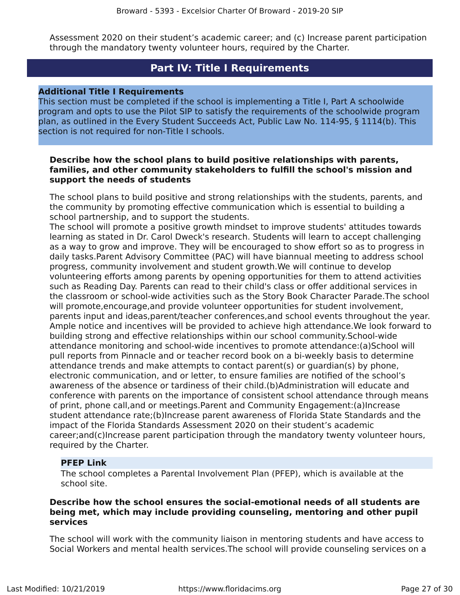Assessment 2020 on their student's academic career; and (c) Increase parent participation through the mandatory twenty volunteer hours, required by the Charter.

## **Part IV: Title I Requirements**

### <span id="page-26-0"></span>**Additional Title I Requirements**

This section must be completed if the school is implementing a Title I, Part A schoolwide program and opts to use the Pilot SIP to satisfy the requirements of the schoolwide program plan, as outlined in the Every Student Succeeds Act, Public Law No. 114-95, § 1114(b). This section is not required for non-Title I schools.

## **Describe how the school plans to build positive relationships with parents, families, and other community stakeholders to fulfill the school's mission and support the needs of students**

The school plans to build positive and strong relationships with the students, parents, and the community by promoting effective communication which is essential to building a school partnership, and to support the students.

The school will promote a positive growth mindset to improve students' attitudes towards learning as stated in Dr. Carol Dweck's research. Students will learn to accept challenging as a way to grow and improve. They will be encouraged to show effort so as to progress in daily tasks.Parent Advisory Committee (PAC) will have biannual meeting to address school progress, community involvement and student growth.We will continue to develop volunteering efforts among parents by opening opportunities for them to attend activities such as Reading Day. Parents can read to their child's class or offer additional services in the classroom or school-wide activities such as the Story Book Character Parade.The school will promote,encourage,and provide volunteer opportunities for student involvement, parents input and ideas,parent/teacher conferences,and school events throughout the year. Ample notice and incentives will be provided to achieve high attendance.We look forward to building strong and effective relationships within our school community.School-wide attendance monitoring and school-wide incentives to promote attendance:(a)School will pull reports from Pinnacle and or teacher record book on a bi-weekly basis to determine attendance trends and make attempts to contact parent(s) or guardian(s) by phone, electronic communication, and or letter, to ensure families are notified of the school's awareness of the absence or tardiness of their child.(b)Administration will educate and conference with parents on the importance of consistent school attendance through means of print, phone call,and or meetings.Parent and Community Engagement:(a)Increase student attendance rate;(b)Increase parent awareness of Florida State Standards and the impact of the Florida Standards Assessment 2020 on their student's academic career;and(c)Increase parent participation through the mandatory twenty volunteer hours, required by the Charter.

## **PFEP Link**

The school completes a Parental Involvement Plan (PFEP), which is available at the school site.

## **Describe how the school ensures the social-emotional needs of all students are being met, which may include providing counseling, mentoring and other pupil services**

The school will work with the community liaison in mentoring students and have access to Social Workers and mental health services.The school will provide counseling services on a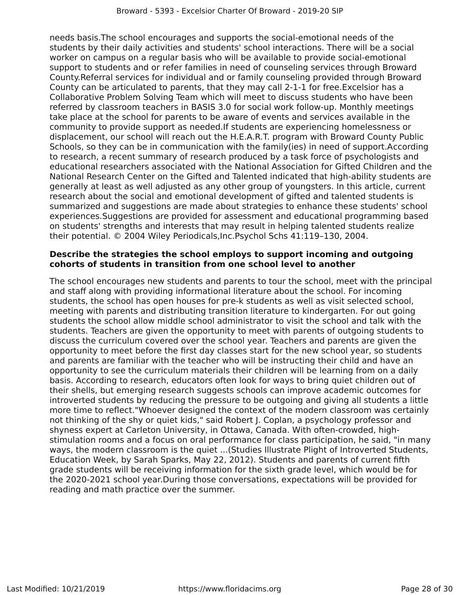needs basis.The school encourages and supports the social-emotional needs of the students by their daily activities and students' school interactions. There will be a social worker on campus on a regular basis who will be available to provide social-emotional support to students and or refer families in need of counseling services through Broward County.Referral services for individual and or family counseling provided through Broward County can be articulated to parents, that they may call 2-1-1 for free.Excelsior has a Collaborative Problem Solving Team which will meet to discuss students who have been referred by classroom teachers in BASIS 3.0 for social work follow-up. Monthly meetings take place at the school for parents to be aware of events and services available in the community to provide support as needed.If students are experiencing homelessness or displacement, our school will reach out the H.E.A.R.T. program with Broward County Public Schools, so they can be in communication with the family(ies) in need of support.According to research, a recent summary of research produced by a task force of psychologists and educational researchers associated with the National Association for Gifted Children and the National Research Center on the Gifted and Talented indicated that high‐ability students are generally at least as well adjusted as any other group of youngsters. In this article, current research about the social and emotional development of gifted and talented students is summarized and suggestions are made about strategies to enhance these students' school experiences.Suggestions are provided for assessment and educational programming based on students' strengths and interests that may result in helping talented students realize their potential. © 2004 Wiley Periodicals,Inc.Psychol Schs 41:119–130, 2004.

## **Describe the strategies the school employs to support incoming and outgoing cohorts of students in transition from one school level to another**

The school encourages new students and parents to tour the school, meet with the principal and staff along with providing informational literature about the school. For incoming students, the school has open houses for pre-k students as well as visit selected school, meeting with parents and distributing transition literature to kindergarten. For out going students the school allow middle school administrator to visit the school and talk with the students. Teachers are given the opportunity to meet with parents of outgoing students to discuss the curriculum covered over the school year. Teachers and parents are given the opportunity to meet before the first day classes start for the new school year, so students and parents are familiar with the teacher who will be instructing their child and have an opportunity to see the curriculum materials their children will be learning from on a daily basis. According to research, educators often look for ways to bring quiet children out of their shells, but emerging research suggests schools can improve academic outcomes for introverted students by reducing the pressure to be outgoing and giving all students a little more time to reflect."Whoever designed the context of the modern classroom was certainly not thinking of the shy or quiet kids," said Robert J. Coplan, a psychology professor and shyness expert at Carleton University, in Ottawa, Canada. With often-crowded, highstimulation rooms and a focus on oral performance for class participation, he said, "in many ways, the modern classroom is the quiet ...(Studies Illustrate Plight of Introverted Students, Education Week, by Sarah Sparks, May 22, 2012). Students and parents of current fifth grade students will be receiving information for the sixth grade level, which would be for the 2020-2021 school year.During those conversations, expectations will be provided for reading and math practice over the summer.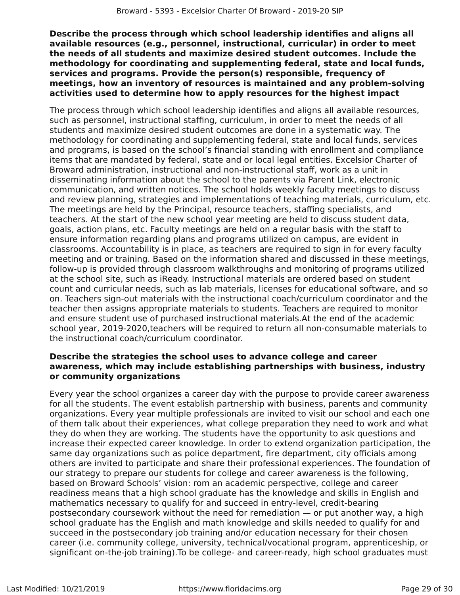**Describe the process through which school leadership identifies and aligns all available resources (e.g., personnel, instructional, curricular) in order to meet the needs of all students and maximize desired student outcomes. Include the methodology for coordinating and supplementing federal, state and local funds, services and programs. Provide the person(s) responsible, frequency of meetings, how an inventory of resources is maintained and any problem-solving activities used to determine how to apply resources for the highest impact**

The process through which school leadership identifies and aligns all available resources, such as personnel, instructional staffing, curriculum, in order to meet the needs of all students and maximize desired student outcomes are done in a systematic way. The methodology for coordinating and supplementing federal, state and local funds, services and programs, is based on the school's financial standing with enrollment and compliance items that are mandated by federal, state and or local legal entities. Excelsior Charter of Broward administration, instructional and non-instructional staff, work as a unit in disseminating information about the school to the parents via Parent Link, electronic communication, and written notices. The school holds weekly faculty meetings to discuss and review planning, strategies and implementations of teaching materials, curriculum, etc. The meetings are held by the Principal, resource teachers, staffing specialists, and teachers. At the start of the new school year meeting are held to discuss student data, goals, action plans, etc. Faculty meetings are held on a regular basis with the staff to ensure information regarding plans and programs utilized on campus, are evident in classrooms. Accountability is in place, as teachers are required to sign in for every faculty meeting and or training. Based on the information shared and discussed in these meetings, follow-up is provided through classroom walkthroughs and monitoring of programs utilized at the school site, such as iReady. Instructional materials are ordered based on student count and curricular needs, such as lab materials, licenses for educational software, and so on. Teachers sign-out materials with the instructional coach/curriculum coordinator and the teacher then assigns appropriate materials to students. Teachers are required to monitor and ensure student use of purchased instructional materials.At the end of the academic school year, 2019-2020,teachers will be required to return all non-consumable materials to the instructional coach/curriculum coordinator.

## **Describe the strategies the school uses to advance college and career awareness, which may include establishing partnerships with business, industry or community organizations**

Every year the school organizes a career day with the purpose to provide career awareness for all the students. The event establish partnership with business, parents and community organizations. Every year multiple professionals are invited to visit our school and each one of them talk about their experiences, what college preparation they need to work and what they do when they are working. The students have the opportunity to ask questions and increase their expected career knowledge. In order to extend organization participation, the same day organizations such as police department, fire department, city officials among others are invited to participate and share their professional experiences. The foundation of our strategy to prepare our students for college and career awareness is the following, based on Broward Schools' vision: rom an academic perspective, college and career readiness means that a high school graduate has the knowledge and skills in English and mathematics necessary to qualify for and succeed in entry-level, credit-bearing postsecondary coursework without the need for remediation — or put another way, a high school graduate has the English and math knowledge and skills needed to qualify for and succeed in the postsecondary job training and/or education necessary for their chosen career (i.e. community college, university, technical/vocational program, apprenticeship, or significant on-the-job training).To be college- and career-ready, high school graduates must